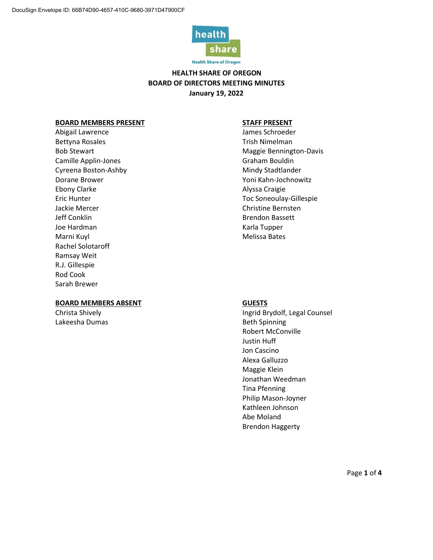

**Health Share of Oregon** 

## **HEALTH SHARE OF OREGON BOARD OF DIRECTORS MEETING MINUTES January 19, 2022**

### **BOARD MEMBERS PRESENT STAFF PRESENT**

Abigail Lawrence and Abigail Lawrence and Abigail Lawrence and Abigail Lawrence and Abigail Lawrence and Abigai Bettyna Rosales **Trish Nimelman** Camille Applin-Jones **Graham Bouldin** Cyreena Boston-Ashby Mindy Stadtlander Dorane Brower North Communication of the Voni Kahn-Jochnowitz Ebony Clarke **Alyssa Craigie Alyssa Craigie** Jackie Mercer Christine Bernsten Jeff Conklin Brendon Bassett Joe Hardman Karla Tupper Marni Kuyl Melissa Bates Rachel Solotaroff Ramsay Weit R.J. Gillespie Rod Cook Sarah Brewer

## **BOARD MEMBERS ABSENT GUESTS**

Lakeesha Dumas and Beth Spinning

Bob Stewart **Maggie Bennington-Davis** Maggie Bennington-Davis Eric Hunter Toc Soneoulay-Gillespie

Christa Shively **Ingrid Brydolf**, Legal Counsel Robert McConville Justin Huff Jon Cascino Alexa Galluzzo Maggie Klein Jonathan Weedman Tina Pfenning Philip Mason-Joyner Kathleen Johnson Abe Moland Brendon Haggerty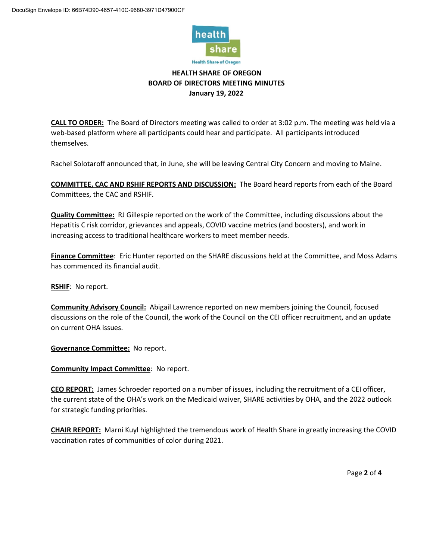

# **HEALTH SHARE OF OREGON BOARD OF DIRECTORS MEETING MINUTES January 19, 2022**

**CALL TO ORDER:** The Board of Directors meeting was called to order at 3:02 p.m. The meeting was held via a web-based platform where all participants could hear and participate. All participants introduced themselves.

Rachel Solotaroff announced that, in June, she will be leaving Central City Concern and moving to Maine.

**COMMITTEE, CAC AND RSHIF REPORTS AND DISCUSSION:** The Board heard reports from each of the Board Committees, the CAC and RSHIF.

**Quality Committee:** RJ Gillespie reported on the work of the Committee, including discussions about the Hepatitis C risk corridor, grievances and appeals, COVID vaccine metrics (and boosters), and work in increasing access to traditional healthcare workers to meet member needs.

**Finance Committee**: Eric Hunter reported on the SHARE discussions held at the Committee, and Moss Adams has commenced its financial audit.

**RSHIF**: No report.

**Community Advisory Council:** Abigail Lawrence reported on new members joining the Council, focused discussions on the role of the Council, the work of the Council on the CEI officer recruitment, and an update on current OHA issues.

**Governance Committee:** No report.

**Community Impact Committee**: No report.

**CEO REPORT:** James Schroeder reported on a number of issues, including the recruitment of a CEI officer, the current state of the OHA's work on the Medicaid waiver, SHARE activities by OHA, and the 2022 outlook for strategic funding priorities.

**CHAIR REPORT:** Marni Kuyl highlighted the tremendous work of Health Share in greatly increasing the COVID vaccination rates of communities of color during 2021.

Page **2** of **4**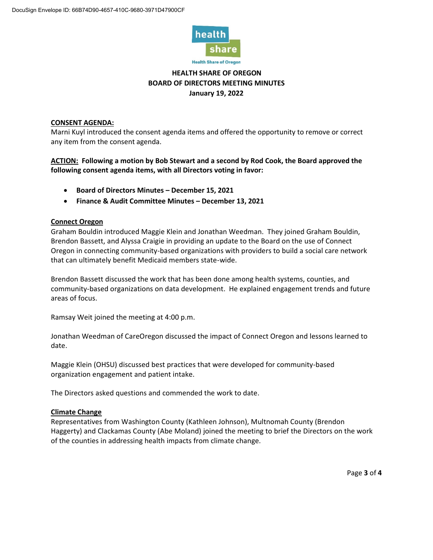

# **HEALTH SHARE OF OREGON BOARD OF DIRECTORS MEETING MINUTES January 19, 2022**

## **CONSENT AGENDA:**

Marni Kuyl introduced the consent agenda items and offered the opportunity to remove or correct any item from the consent agenda.

**ACTION: Following a motion by Bob Stewart and a second by Rod Cook, the Board approved the following consent agenda items, with all Directors voting in favor:** 

- **Board of Directors Minutes – December 15, 2021**
- **Finance & Audit Committee Minutes – December 13, 2021**

## **Connect Oregon**

Graham Bouldin introduced Maggie Klein and Jonathan Weedman. They joined Graham Bouldin, Brendon Bassett, and Alyssa Craigie in providing an update to the Board on the use of Connect Oregon in connecting community-based organizations with providers to build a social care network that can ultimately benefit Medicaid members state-wide.

Brendon Bassett discussed the work that has been done among health systems, counties, and community-based organizations on data development. He explained engagement trends and future areas of focus.

Ramsay Weit joined the meeting at 4:00 p.m.

Jonathan Weedman of CareOregon discussed the impact of Connect Oregon and lessons learned to date.

Maggie Klein (OHSU) discussed best practices that were developed for community-based organization engagement and patient intake.

The Directors asked questions and commended the work to date.

## **Climate Change**

Representatives from Washington County (Kathleen Johnson), Multnomah County (Brendon Haggerty) and Clackamas County (Abe Moland) joined the meeting to brief the Directors on the work of the counties in addressing health impacts from climate change.